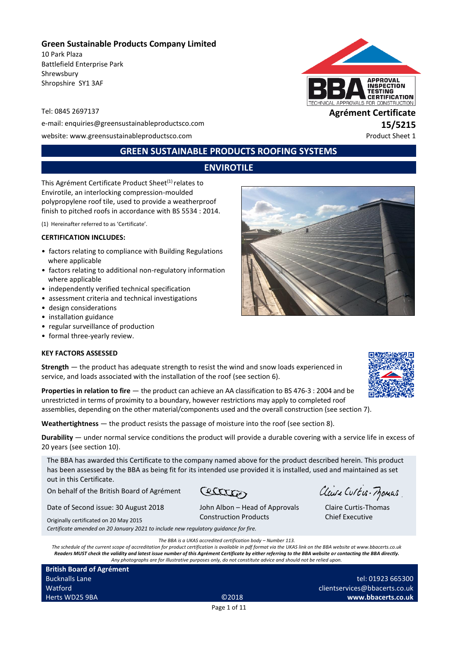### **Green Sustainable Products Company Limited**

10 Park Plaza Battlefield Enterprise Park Shrewsbury Shropshire SY1 3AF

e-mail: enquiries@greensustainableproductsco.com **15/5215**

website: www.greensustainableproductsco.com example and the example of the Product Sheet 1

# **GREEN SUSTAINABLE PRODUCTS ROOFING SYSTEMS**

# **ENVIROTILE**

This Agrément Certificate Product Sheet<sup>(1)</sup> relates to Envirotile, an interlocking compression-moulded polypropylene roof tile, used to provide a weatherproof finish to pitched roofs in accordance with BS 5534 : 2014.

(1) Hereinafter referred to as 'Certificate'.

#### **CERTIFICATION INCLUDES:**

- factors relating to compliance with Building Regulations where applicable
- factors relating to additional non-regulatory information where applicable
- independently verified technical specification
- assessment criteria and technical investigations
- design considerations
- installation guidance
- regular surveillance of production
- formal three-yearly review.

#### **KEY FACTORS ASSESSED**

**Strength** — the product has adequate strength to resist the wind and snow loads experienced in service, and loads associated with the installation of the roof (see section 6).

**Properties in relation to fire** — the product can achieve an AA classification to BS 476-3 : 2004 and be unrestricted in terms of proximity to a boundary, however restrictions may apply to completed roof assemblies, depending on the other material/components used and the overall construction (see section 7).

**Weathertightness** — the product resists the passage of moisture into the roof (see section 8).

**Durability** — under normal service conditions the product will provide a durable covering with a service life in excess of 20 years (see section 10).

The BBA has awarded this Certificate to the company named above for the product described herein. This product has been assessed by the BBA as being fit for its intended use provided it is installed, used and maintained as set out in this Certificate. Claire Curtis-Momas

Ceatter

On behalf of the British Board of Agrément

Date of Second issue: 30 August 2018

Originally certificated on 20 May 2015 John Albon – Head of Approvals Construction Products

*Certificate amended on 20 January 2021 to include new regulatory guidance for fire.*

*The BBA is a UKAS accredited certification body – Number 113.*

*The schedule of the current scope of accreditation for product certification is available in pdf format via the UKAS link on the BBA website at www.bbacerts.co.uk Readers MUST check the validity and latest issue number of this Agrément Certificate by either referring to the BBA website or contacting the BBA directly. Any photographs are for illustrative purposes only, do not constitute advice and should not be relied upon.*

**British Board of Agrément** Bucknalls Lane **Watford** Herts WD25 9BA ©2018

#### Page 1 of 11

tel: 01923 665300 clientservices@bbacerts.co.uk **www.bbacerts.co.uk**







Tel: 0845 2697137 **Agrément Certificate**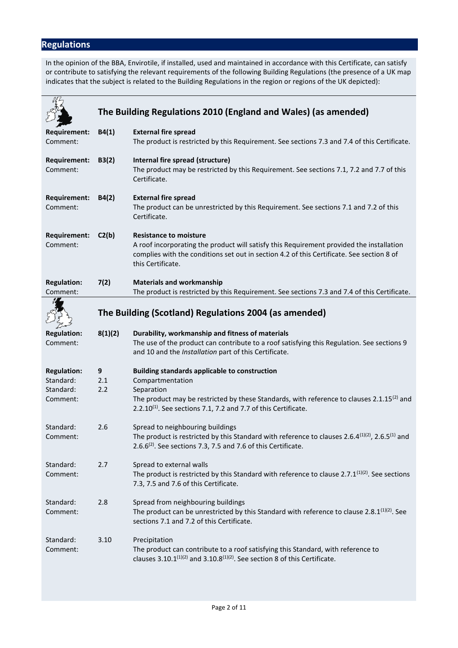# **Regulations**

In the opinion of the BBA, Envirotile, if installed, used and maintained in accordance with this Certificate, can satisfy or contribute to satisfying the relevant requirements of the following Building Regulations (the presence of a UK map indicates that the subject is related to the Building Regulations in the region or regions of the UK depicted):

|                                 | The Building Regulations 2010 (England and Wales) (as amended) |                                                                                                                                                                                                                                             |  |
|---------------------------------|----------------------------------------------------------------|---------------------------------------------------------------------------------------------------------------------------------------------------------------------------------------------------------------------------------------------|--|
|                                 |                                                                |                                                                                                                                                                                                                                             |  |
| <b>Requirement:</b><br>Comment: | B4(1)                                                          | <b>External fire spread</b><br>The product is restricted by this Requirement. See sections 7.3 and 7.4 of this Certificate.                                                                                                                 |  |
| Requirement:<br>Comment:        | B3(2)                                                          | Internal fire spread (structure)<br>The product may be restricted by this Requirement. See sections 7.1, 7.2 and 7.7 of this<br>Certificate.                                                                                                |  |
| <b>Requirement:</b><br>Comment: | B4(2)                                                          | <b>External fire spread</b><br>The product can be unrestricted by this Requirement. See sections 7.1 and 7.2 of this<br>Certificate.                                                                                                        |  |
| Requirement:<br>Comment:        | C2(b)                                                          | <b>Resistance to moisture</b><br>A roof incorporating the product will satisfy this Requirement provided the installation<br>complies with the conditions set out in section 4.2 of this Certificate. See section 8 of<br>this Certificate. |  |
| <b>Regulation:</b><br>Comment:  | 7(2)                                                           | <b>Materials and workmanship</b><br>The product is restricted by this Requirement. See sections 7.3 and 7.4 of this Certificate.                                                                                                            |  |
|                                 |                                                                | The Building (Scotland) Regulations 2004 (as amended)                                                                                                                                                                                       |  |
| <b>Regulation:</b><br>Comment:  | 8(1)(2)                                                        | Durability, workmanship and fitness of materials<br>The use of the product can contribute to a roof satisfying this Regulation. See sections 9<br>and 10 and the Installation part of this Certificate.                                     |  |
| <b>Regulation:</b>              | 9                                                              | <b>Building standards applicable to construction</b>                                                                                                                                                                                        |  |
| Standard:                       | 2.1                                                            | Compartmentation                                                                                                                                                                                                                            |  |
| Standard:                       | 2.2                                                            | Separation                                                                                                                                                                                                                                  |  |
| Comment:                        |                                                                | The product may be restricted by these Standards, with reference to clauses $2.1.15^{(2)}$ and<br>$2.2.10^{(1)}$ . See sections 7.1, 7.2 and 7.7 of this Certificate.                                                                       |  |
| Standard:<br>Comment:           | 2.6                                                            | Spread to neighbouring buildings<br>The product is restricted by this Standard with reference to clauses 2.6.4 $^{(1)(2)}$ , 2.6.5 $^{(1)}$ and<br>2.6.6 $^{(2)}$ . See sections 7.3, 7.5 and 7.6 of this Certificate.                      |  |
| Standard:<br>Comment:           | 2.7                                                            | Spread to external walls<br>The product is restricted by this Standard with reference to clause 2.7.1 <sup>(1)(2)</sup> . See sections<br>7.3, 7.5 and 7.6 of this Certificate.                                                             |  |
| Standard:<br>Comment:           | 2.8                                                            | Spread from neighbouring buildings<br>The product can be unrestricted by this Standard with reference to clause 2.8.1 $^{\{1\}\{2\}}$ . See<br>sections 7.1 and 7.2 of this Certificate.                                                    |  |
| Standard:<br>Comment:           | 3.10                                                           | Precipitation<br>The product can contribute to a roof satisfying this Standard, with reference to<br>clauses 3.10.1 <sup>(1)(2)</sup> and 3.10.8 <sup>(1)(2)</sup> . See section 8 of this Certificate.                                     |  |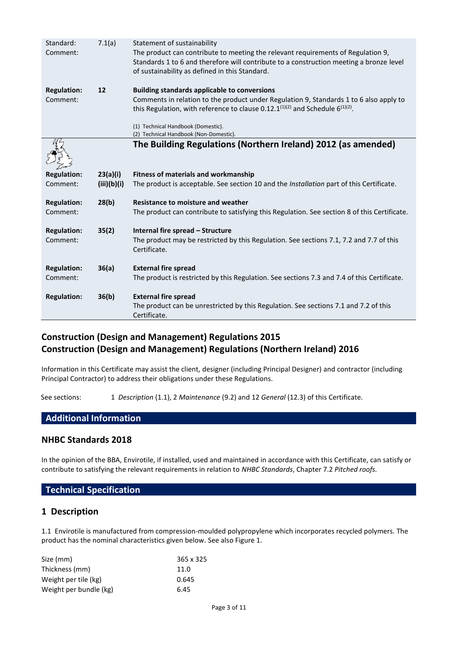| Standard:<br>Comment:          | 7.1(a)      | Statement of sustainability<br>The product can contribute to meeting the relevant requirements of Regulation 9,<br>Standards 1 to 6 and therefore will contribute to a construction meeting a bronze level<br>of sustainability as defined in this Standard. |  |
|--------------------------------|-------------|--------------------------------------------------------------------------------------------------------------------------------------------------------------------------------------------------------------------------------------------------------------|--|
| <b>Regulation:</b><br>Comment: | 12          | <b>Building standards applicable to conversions</b><br>Comments in relation to the product under Regulation 9, Standards 1 to 6 also apply to<br>this Regulation, with reference to clause 0.12.1 $(1)(2)$ and Schedule 6 $(1)(2)$ .                         |  |
|                                |             | (1) Technical Handbook (Domestic).<br>(2) Technical Handbook (Non-Domestic).                                                                                                                                                                                 |  |
|                                |             | The Building Regulations (Northern Ireland) 2012 (as amended)                                                                                                                                                                                                |  |
| <b>Regulation:</b>             | 23(a)(i)    | <b>Fitness of materials and workmanship</b>                                                                                                                                                                                                                  |  |
| Comment:                       | (iii)(b)(i) | The product is acceptable. See section 10 and the Installation part of this Certificate.                                                                                                                                                                     |  |
| <b>Regulation:</b><br>Comment: | 28(b)       | <b>Resistance to moisture and weather</b><br>The product can contribute to satisfying this Regulation. See section 8 of this Certificate.                                                                                                                    |  |
| <b>Regulation:</b><br>Comment: | 35(2)       | Internal fire spread - Structure<br>The product may be restricted by this Regulation. See sections 7.1, 7.2 and 7.7 of this<br>Certificate.                                                                                                                  |  |
| <b>Regulation:</b><br>Comment: | 36(a)       | <b>External fire spread</b><br>The product is restricted by this Regulation. See sections 7.3 and 7.4 of this Certificate.                                                                                                                                   |  |
| <b>Regulation:</b>             | 36(b)       | <b>External fire spread</b><br>The product can be unrestricted by this Regulation. See sections 7.1 and 7.2 of this<br>Certificate.                                                                                                                          |  |

# **Construction (Design and Management) Regulations 2015 Construction (Design and Management) Regulations (Northern Ireland) 2016**

Information in this Certificate may assist the client, designer (including Principal Designer) and contractor (including Principal Contractor) to address their obligations under these Regulations.

See sections: 1 *Description* (1.1), 2 *Maintenance* (9.2) and 12 *General* (12.3) of this Certificate.

## **Additional Information**

## **NHBC Standards 2018**

In the opinion of the BBA, Envirotile, if installed, used and maintained in accordance with this Certificate, can satisfy or contribute to satisfying the relevant requirements in relation to *NHBC Standards*, Chapter 7.2 *Pitched roofs.*

### **Technical Specification**

## **1 Description**

1.1 Envirotile is manufactured from compression-moulded polypropylene which incorporates recycled polymers. The product has the nominal characteristics given below. See also Figure 1.

| Size (mm)              | 365 x 325 |
|------------------------|-----------|
| Thickness (mm)         | 11.0      |
| Weight per tile (kg)   | 0.645     |
| Weight per bundle (kg) | 6.45      |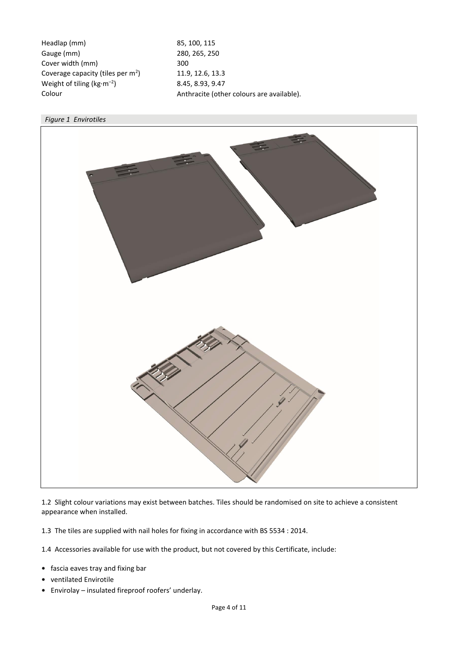Headlap (mm) 85, 100, 115 Gauge (mm) 280, 265, 250 Cover width (mm) 300 Coverage capacity (tiles per  $m<sup>2</sup>$ ) Weight of tiling ( $kg·m<sup>-2</sup>$ ) Colour **Colour** Anthracite (other colours are available).

) 11.9, 12.6, 13.3 ) 8.45, 8.93, 9.47



1.2 Slight colour variations may exist between batches. Tiles should be randomised on site to achieve a consistent appearance when installed.

1.3 The tiles are supplied with nail holes for fixing in accordance with BS 5534 : 2014.

1.4 Accessories available for use with the product, but not covered by this Certificate, include:

- **•** fascia eaves tray and fixing bar
- **•** ventilated Envirotile
- **•** Envirolay insulated fireproof roofers' underlay.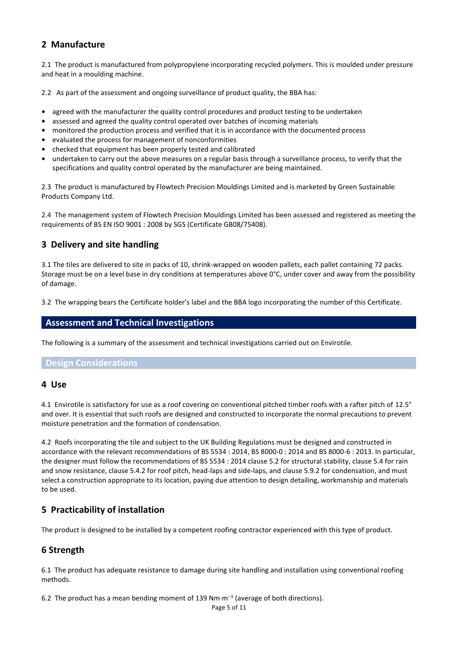# **2 Manufacture**

2.1 The product is manufactured from polypropylene incorporating recycled polymers. This is moulded under pressure and heat in a moulding machine.

2.2 As part of the assessment and ongoing surveillance of product quality, the BBA has:

- **•** agreed with the manufacturer the quality control procedures and product testing to be undertaken
- **•** assessed and agreed the quality control operated over batches of incoming materials
- **•** monitored the production process and verified that it is in accordance with the documented process
- **•** evaluated the process for management of nonconformities
- **•** checked that equipment has been properly tested and calibrated
- **•** undertaken to carry out the above measures on a regular basis through a surveillance process, to verify that the specifications and quality control operated by the manufacturer are being maintained.

2.3 The product is manufactured by Flowtech Precision Mouldings Limited and is marketed by Green Sustainable Products Company Ltd.

2.4 The management system of Flowtech Precision Mouldings Limited has been assessed and registered as meeting the requirements of BS EN ISO 9001 : 2008 by SGS (Certificate GB08/75408).

# **3 Delivery and site handling**

3.1 The tiles are delivered to site in packs of 10, shrink-wrapped on wooden pallets, each pallet containing 72 packs. Storage must be on a level base in dry conditions at temperatures above 0°C, under cover and away from the possibility of damage.

3.2 The wrapping bears the Certificate holder's label and the BBA logo incorporating the number of this Certificate.

### **Assessment and Technical Investigations**

The following is a summary of the assessment and technical investigations carried out on Envirotile.

**Design Considerations**

#### **4 Use**

4.1 Envirotile is satisfactory for use as a roof covering on conventional pitched timber roofs with a rafter pitch of 12.5° and over. It is essential that such roofs are designed and constructed to incorporate the normal precautions to prevent moisture penetration and the formation of condensation.

4.2 Roofs incorporating the tile and subject to the UK Building Regulations must be designed and constructed in accordance with the relevant recommendations of BS 5534 : 2014, BS 8000-0 : 2014 and BS 8000-6 : 2013. In particular, the designer must follow the recommendations of BS 5534 : 2014 clause 5.2 for structural stability, clause 5.4 for rain and snow resistance, clause 5.4.2 for roof pitch, head-laps and side-laps, and clause 5.9.2 for condensation, and must select a construction appropriate to its location, paying due attention to design detailing, workmanship and materials to be used.

# **5 Practicability of installation**

The product is designed to be installed by a competent roofing contractor experienced with this type of product.

## **6 Strength**

6.1 The product has adequate resistance to damage during site handling and installation using conventional roofing methods.

6.2 The product has a mean bending moment of 139 Nm $\cdot$ m<sup>-1</sup> (average of both directions).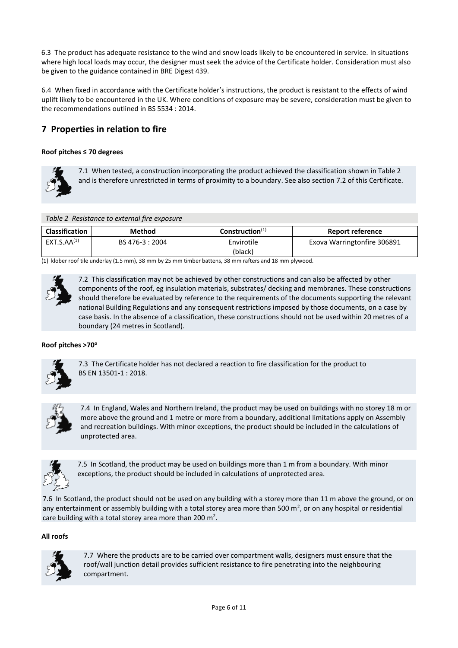6.3 The product has adequate resistance to the wind and snow loads likely to be encountered in service. In situations where high local loads may occur, the designer must seek the advice of the Certificate holder. Consideration must also be given to the guidance contained in BRE Digest 439.

6.4 When fixed in accordance with the Certificate holder's instructions, the product is resistant to the effects of wind uplift likely to be encountered in the UK. Where conditions of exposure may be severe, consideration must be given to the recommendations outlined in BS 5534 : 2014.

# **7 Properties in relation to fire**

#### **Roof pitches ≤ 70 degrees**



7.1 When tested, a construction incorporating the product achieved the classification shown in Table 2 and is therefore unrestricted in terms of proximity to a boundary. See also section 7.2 of this Certificate.

#### *Table 2 Resistance to external fire exposure*

| Classification   | Method          | Construction <sup>(1)</sup> | Report reference            |
|------------------|-----------------|-----------------------------|-----------------------------|
| $EXT.S.AA^{(1)}$ | BS 476-3 : 2004 | Envirotile                  | Exova Warringtonfire 306891 |
|                  |                 | (black)                     |                             |

(1) klober roof tile underlay (1.5 mm), 38 mm by 25 mm timber battens, 38 mm rafters and 18 mm plywood.



7.2 This classification may not be achieved by other constructions and can also be affected by other components of the roof, eg insulation materials, substrates/ decking and membranes. These constructions should therefore be evaluated by reference to the requirements of the documents supporting the relevant national Building Regulations and any consequent restrictions imposed by those documents, on a case by case basis. In the absence of a classification, these constructions should not be used within 20 metres of a boundary (24 metres in Scotland).

#### **Roof pitches >70<sup>o</sup>**



7.3 The Certificate holder has not declared a reaction to fire classification for the product to BS EN 13501-1 : 2018.



7.4 In England, Wales and Northern Ireland, the product may be used on buildings with no storey 18 m or more above the ground and 1 metre or more from a boundary, additional limitations apply on Assembly and recreation buildings. With minor exceptions, the product should be included in the calculations of unprotected area.



7.5 In Scotland, the product may be used on buildings more than 1 m from a boundary. With minor exceptions, the product should be included in calculations of unprotected area.

7.6 In Scotland, the product should not be used on any building with a storey more than 11 m above the ground, or on any entertainment or assembly building with a total storey area more than 500 m<sup>2</sup>, or on any hospital or residential care building with a total storey area more than 200  $m^2$ .

#### **All roofs**



7.7 Where the products are to be carried over compartment walls, designers must ensure that the roof/wall junction detail provides sufficient resistance to fire penetrating into the neighbouring compartment.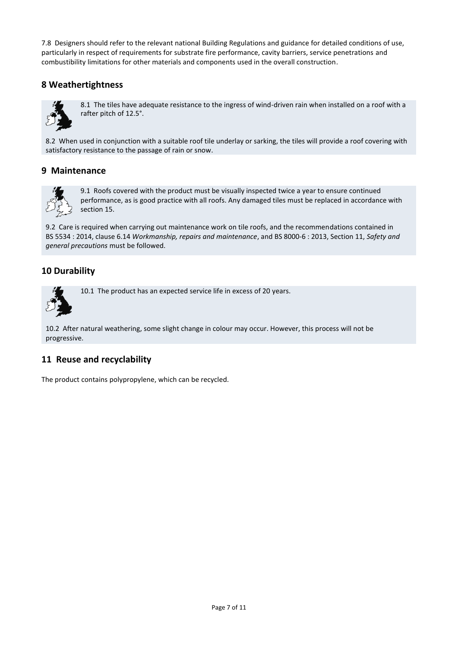7.8 Designers should refer to the relevant national Building Regulations and guidance for detailed conditions of use, particularly in respect of requirements for substrate fire performance, cavity barriers, service penetrations and combustibility limitations for other materials and components used in the overall construction.

# **8 Weathertightness**



8.1 The tiles have adequate resistance to the ingress of wind-driven rain when installed on a roof with a rafter pitch of 12.5°.

8.2 When used in conjunction with a suitable roof tile underlay or sarking, the tiles will provide a roof covering with satisfactory resistance to the passage of rain or snow.

# **9 Maintenance**



9.1 Roofs covered with the product must be visually inspected twice a year to ensure continued performance, as is good practice with all roofs. Any damaged tiles must be replaced in accordance with section 15.

9.2 Care is required when carrying out maintenance work on tile roofs, and the recommendations contained in BS 5534 : 2014, clause 6.14 *Workmanship, repairs and maintenance*, and BS 8000-6 : 2013, Section 11, *Safety and general precautions* must be followed.

# **10 Durability**



10.1 The product has an expected service life in excess of 20 years.

10.2 After natural weathering, some slight change in colour may occur. However, this process will not be progressive.

## **11 Reuse and recyclability**

The product contains polypropylene, which can be recycled.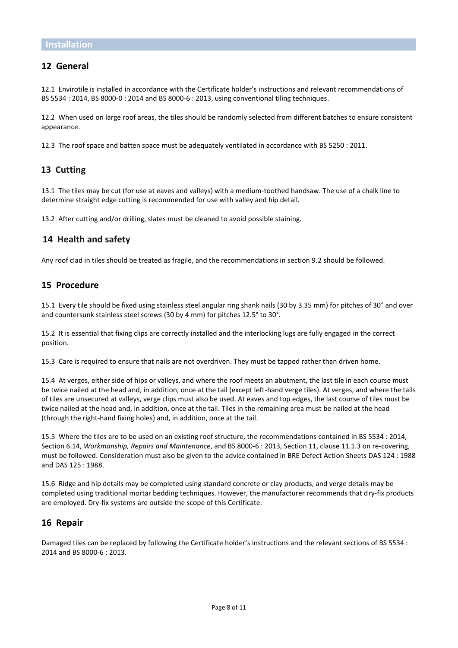## **12 General**

12.1 Envirotile is installed in accordance with the Certificate holder's instructions and relevant recommendations of BS 5534 : 2014, BS 8000-0 : 2014 and BS 8000-6 : 2013, using conventional tiling techniques.

12.2 When used on large roof areas, the tiles should be randomly selected from different batches to ensure consistent appearance.

12.3 The roof space and batten space must be adequately ventilated in accordance with BS 5250 : 2011.

## **13 Cutting**

13.1 The tiles may be cut (for use at eaves and valleys) with a medium-toothed handsaw. The use of a chalk line to determine straight edge cutting is recommended for use with valley and hip detail.

13.2 After cutting and/or drilling, slates must be cleaned to avoid possible staining.

#### **14 Health and safety**

Any roof clad in tiles should be treated as fragile, and the recommendations in section 9.2 should be followed.

#### **15 Procedure**

15.1 Every tile should be fixed using stainless steel angular ring shank nails (30 by 3.35 mm) for pitches of 30° and over and countersunk stainless steel screws (30 by 4 mm) for pitches 12.5° to 30°.

15.2 It is essential that fixing clips are correctly installed and the interlocking lugs are fully engaged in the correct position.

15.3 Care is required to ensure that nails are not overdriven. They must be tapped rather than driven home.

15.4 At verges, either side of hips or valleys, and where the roof meets an abutment, the last tile in each course must be twice nailed at the head and, in addition, once at the tail (except left-hand verge tiles). At verges, and where the tails of tiles are unsecured at valleys, verge clips must also be used. At eaves and top edges, the last course of tiles must be twice nailed at the head and, in addition, once at the tail. Tiles in the remaining area must be nailed at the head (through the right-hand fixing holes) and, in addition, once at the tail.

15.5 Where the tiles are to be used on an existing roof structure, the recommendations contained in BS 5534 : 2014, Section 6.14, *Workmanship, Repairs and Maintenance*, and BS 8000-6 : 2013, Section 11, clause 11.1.3 on re-covering, must be followed. Consideration must also be given to the advice contained in BRE Defect Action Sheets DAS 124 : 1988 and DAS 125 : 1988.

15.6 Ridge and hip details may be completed using standard concrete or clay products, and verge details may be completed using traditional mortar bedding techniques. However, the manufacturer recommends that dry-fix products are employed. Dry-fix systems are outside the scope of this Certificate.

#### **16 Repair**

Damaged tiles can be replaced by following the Certificate holder's instructions and the relevant sections of BS 5534 : 2014 and BS 8000-6 : 2013.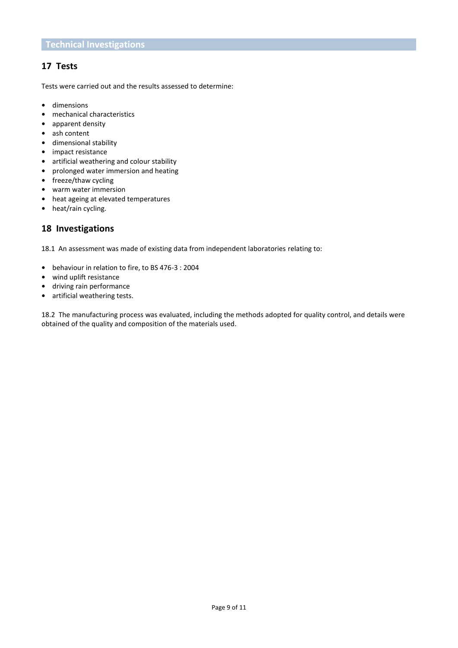# **17 Tests**

Tests were carried out and the results assessed to determine:

- **•** dimensions
- **•** mechanical characteristics
- **•** apparent density
- **•** ash content
- **•** dimensional stability
- **•** impact resistance
- **•** artificial weathering and colour stability
- **•** prolonged water immersion and heating
- **•** freeze/thaw cycling
- **•** warm water immersion
- **•** heat ageing at elevated temperatures
- **•** heat/rain cycling.

## **18 Investigations**

18.1 An assessment was made of existing data from independent laboratories relating to:

- **•** behaviour in relation to fire, to BS 476-3 : 2004
- **•** wind uplift resistance
- **•** driving rain performance
- **•** artificial weathering tests.

18.2 The manufacturing process was evaluated, including the methods adopted for quality control, and details were obtained of the quality and composition of the materials used.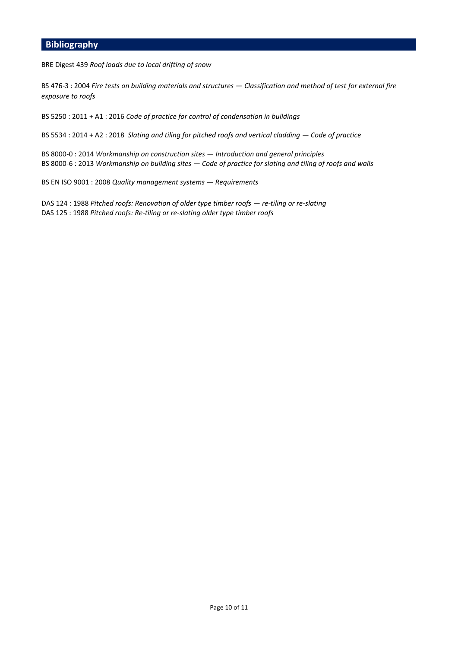# **Bibliography**

BRE Digest 439 *Roof loads due to local drifting of snow*

BS 476-3 : 2004 *Fire tests on building materials and structures — Classification and method of test for external fire exposure to roofs*

BS 5250 : 2011 + A1 : 2016 *Code of practice for control of condensation in buildings*

BS 5534 : 2014 + A2 : 2018 *Slating and tiling for pitched roofs and vertical cladding — Code of practice*

BS 8000-0 : 2014 *Workmanship on construction sites — Introduction and general principles* BS 8000-6 : 2013 *Workmanship on building sites — Code of practice for slating and tiling of roofs and walls*

BS EN ISO 9001 : 2008 *Quality management systems — Requirements*

DAS 124 : 1988 *Pitched roofs: Renovation of older type timber roofs — re-tiling or re-slating* DAS 125 : 1988 *Pitched roofs: Re-tiling or re-slating older type timber roofs*